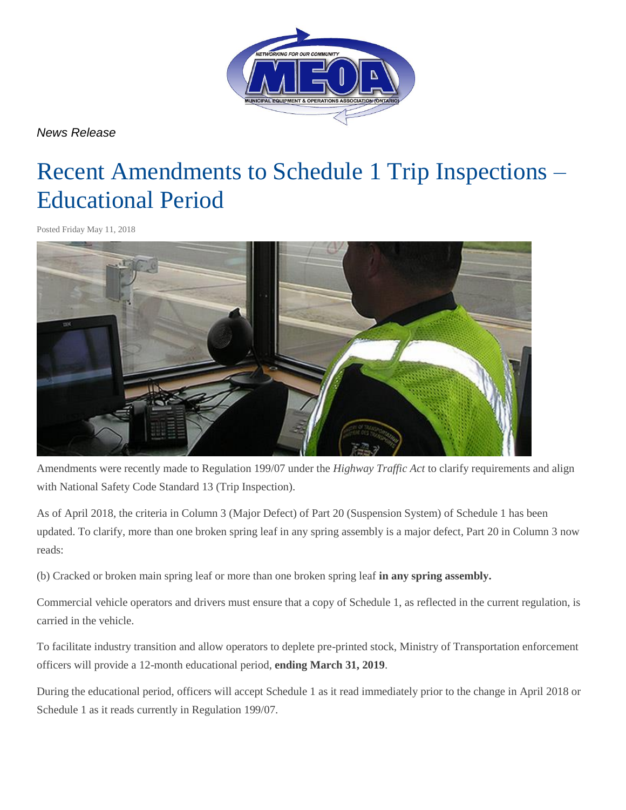

*News Release* 

## Recent Amendments to Schedule 1 Trip Inspections – Educational Period

Posted Friday May 11, 2018



Amendments were recently made to Regulation 199/07 under the *Highway Traffic Act* to clarify requirements and align with National Safety Code Standard 13 (Trip Inspection).

As of April 2018, the criteria in Column 3 (Major Defect) of Part 20 (Suspension System) of Schedule 1 has been updated. To clarify, more than one broken spring leaf in any spring assembly is a major defect, Part 20 in Column 3 now reads:

(b) Cracked or broken main spring leaf or more than one broken spring leaf **in any spring assembly.** 

Commercial vehicle operators and drivers must ensure that a copy of Schedule 1, as reflected in the current regulation, is carried in the vehicle.

To facilitate industry transition and allow operators to deplete pre-printed stock, Ministry of Transportation enforcement officers will provide a 12-month educational period, **ending March 31, 2019**.

During the educational period, officers will accept Schedule 1 as it read immediately prior to the change in April 2018 or Schedule 1 as it reads currently in Regulation 199/07.